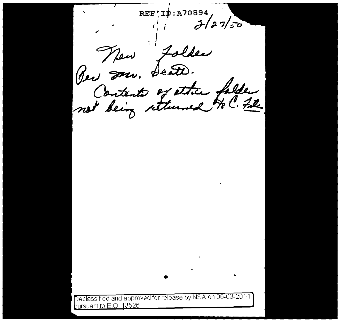REF'ID: A70894  $2/27/50$ Folder New Bei Mr. not being returned to ? File Declassified and approved for release by NSA on 06-03-2014 bursuant to E.O. 13526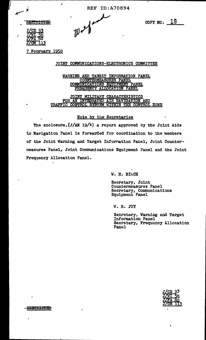REF ID:A70894

**RESTRICTED** 

| J/CE        |    |
|-------------|----|
| <b>J/WT</b> |    |
| J/FA        | 80 |
| J/CM        | つ  |

.

 $\mathcal{L}$ 

•

 $\psi$ 

COPY NO:  $19$ 

7 February 1950

I

JOINT COMMUNICATIONS-ELECTRONICS COMMITTEE

WARNING AND TARGET INFORMATION PANEL<br>COUNTERMEASURES PANEL<br>COMMUNICATIONS EQUIPMENT PANEL<br>FREQUENCY ALLOCATION PANEL

JOINT MILITARY CHARACTERISTICS FOR AN INTEGRATED AIR NAVIGATION AND TRAFFIC CONTROL SYSTEM WITHIN THE CONTROL ZONE

### Note by the Secretaries

The enclosure,  $(J/AN 19/4)$  a report approved by the Joint Aids to Navigation Panel is forwarded for coordination to the members of the Joint Warning and Target Infornat1on Panel, Joint Counterceasures Panel, Joint Communications Equipment ?anel and the Joint Frequency Allocation Panel.

W. H. BihCH

Secretary, Joint Countermeasures Panel Secretary, Communications Equipment Panel

'W. R. JOY

Secretary, Warning and Target Information Panel Secretary, Frequency Allocation Panel



RESTRICTED

 $\pmb{\cdot}$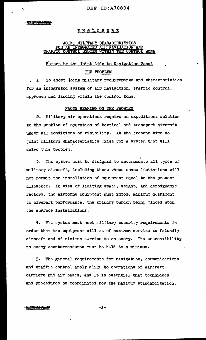# <u>ENCLOSURE</u>

# JOINT MILITARY CHARACTERISTICS<br>FOR AN INTEGRATED AIR NAVIGATION AND TRAFFIC CONTROL SYSTEM WITHIN THE CONTROL ZONE

# Report by the Joint Aids to Navigation Panel

# THE PROBLEM

To adopt joint military requirements and characteristics  $1.$ for an integrated system of air navigation, traffic control, approach and landing witnin the control zone.

#### FACTS BEARING ON THE PROBLEM

2. Military air operations require an expeditious solution to the problem of operation of tactical and transport aircraft under all conditions of visibility. At the present time no joint military characteristics exist for a system that will solve this problem.

The system must be designed to accommodate all types of 3. military aircraft, including those whose space limitations will not permit the installation of equirment aqual to the present allowance. In view of limiting space, weight, and aerodynamic factors, the airborne equipment must impose minimum detriment to aircraft performance, the primary burden being placed upon the surface installations.

4. The system must meet rilitary security requirements in order that the equipment will be of maximum service to friendly aircraft and of rinimum service to an enemy. The susceptibility to enemy countermeasures rust be held to a minimum.

The general requirements for navigation, communications 5. and traffic control apply alike to oberations of aircraft carriers and air bases, and it is essential that techniques and procedures be coordinated for the maximum standardization.

#### **RESTRICTED**

 $-1-$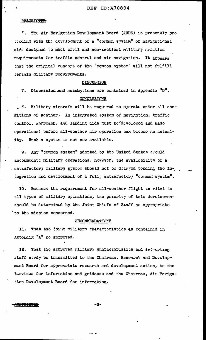The Air Navigation Dewelopment Board (ANDB) is prosently pros., seeding with the develocated of a "common system" of navigational aids designed to mect civil and non-tactical military aviation requirements for traffic control and air navigation. It appears that the original concept of the "common system" will not fulfill certain ailutary requirements.

#### **DISCUSSION**

7. Discussion and assumptions are contained in Appendix "D". **CONCLUSIONS** 

8. Military aircraft will be roquired to operate under all conditions of weather. An integrated system of navigation, traffic control, approach, and landing aids must be developed and made operational before all-weather air operation can become an actuality. Such a system is not now available.

Any "common system" adopted by the United States should 9. accommodate military eperations, however, the availebility of a satisfactory military system should not be delayed pending the intogration and development of a fully satisfactory "common system".

10. Bocause the requirement for all-weather flight is vital to all types of military operations, the priority of this dovelopment should be determined by the Joint Chiefs of Staff as appropriate to the mission concerned.

#### **RECOMMENDATIONS**

11. That the joint willtary characteristics as contained in Appendix "A" be approved.

That the approved military characteristics and supporting 12. staff study be transmitted to the Chairman, Research and Development Board for approoriate research and development action, to the Services for information and guidance and the Chairman, Air Favigation Davelopment Board for information.

#### <del>RESTRICTED</del>

 $-2-$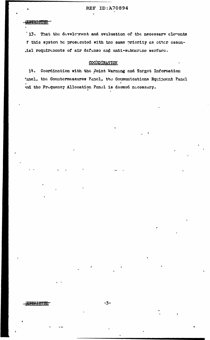'13. That the development and evaluation of the necessary elements f this system be prosecuted with the same priority as other ossen-.ial requirements of air defense and anti-submarine warfare.

# COORDINATION

14. Coordination with the Joint Warning and Target Information 'anel, the Countermeasures Panel, the Communications Equipment Panel ind the Friquency Allocation Panel is deemed necessary.

**ESTRICTIO**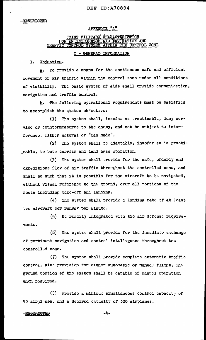## **REF ID: A70894**

# APPENDIX."A"

#### JOINT MILITARY CHARACTERISTICS **INTEGRATE** <u>'ROL ZONL</u> TRAFFIC **SYSTEM WITHIN THE**

# I - GENERAL INFORMATION

1. Objective.

To provide a means for the continuous safe and efficient  $a$ movement of air traffic within the control zone under all conditions of visibility. The basic system of aids shall provide communication, navigation and traffic control.

The following operational requirements must be satisfied <u>b</u>. to accomplish the states objective:

The systom shall, insofar as practicable, dony ser- $(1)$ vice or countermeasures to the energ, and not be subject to interference, either natural or "man made".

(2) The system shall be adaptable, insofar as is practigeable, to both carrier and land base operation.

The system shall provide for the safe, orderly and  $(3)$ oxpeditious flow of air traffic throughout the controlled zone, and shall be such that it is possible for the aircraft to be navigated, without visual reference to the ground, over all portions of the route including take-off and landing.

(4) The system shall provide a landing rate of at least two aircraft per runway per minute.

(5) Be readily integrated with the air defense requirements.

 $(5)$ The system shall provide for the inmediate exchange of pertinent navigation and control intelligence throughout the controlled zone.

 $(7)$ The system shall provide complete automatic traffic control, with provision for either autoratic or manual flight. The ground portion of the system shall be capable of manuel operation when required.

(2) Provide a minimum simultaneous control capacity of 50 airplanes, and a desired caracity of 300 airplanes.

### **RESTRICTED**

 $-4-$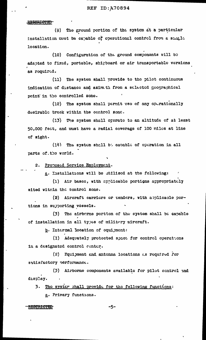#### **REF ID:A70894**

#### **RESTRICTED**

(9) The ground portion of the system at a particular installation must be capable of operational control from a single location.

(10) Configuration of the ground components will be adapted to fixcd, portable, shipboard or air transportable versions as required.

(11) The system shall provide to the pilot continuous indication of distance and azim th from a selected geographical point in the controlled zone.

(12) The system shall parmit use of any operationally desirable track within the control zone.

(13) The system shall operate to an altitude of at least 50,000 fect, and must have a radial coverage of 100 miles at line of sight.

(14) The system shall be capable of operation in all parts of the world.

2. Proposed Service Employment.

g. Installations will be itilized at the following:

(1) Air bases, with applicable portions appropriately sited within the control zone.

(2) Aircraft carriers or tenders, with applicable portions in supporting vessels.

(3) The airberne portion of the system shall be capable of installation in all types of military aircraft.

b. Internal location of equipment:

(1) Adequately protocted spact for control operations in a designated control center.

(2) Fquipment and antonna locations as required for satisfactory performance.

(3) Airborne components available for pilot control and display.

3. The syster shall provide for the following functions: a. Primary functions.

#### RESTRICTED

-5-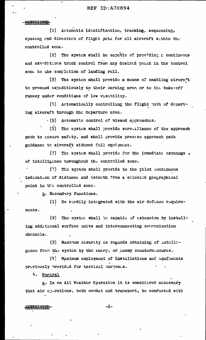(1) Artomatid identification, tracking, sequencing, spacing end direction of flight path for all aircraft within the controlled zone.

(2) The system shall be eapable of providing a continuous and expeditions track control from any desired point in the control zont to the completion of landing roll.

(3) The system shall provide a means of enabling aircraft to proceed expeditiously to their parking area or to the take-off runway under conditions of low visibility.

(4) Automatically controlling the flight path of departing aircraft through the departure area.

 $\cdot$  (5) Automatic control of missed approaches.

(5) The system shall provide surveillance of the approach path to insure safety, and shall provide precise approach path guidance te aircraft without full equipment.

(7) The system shall provide for the immediate exchange of intolligenco throughout the controlled zone.

(?) The system shall provide to the pilot continuous indication of distance and azimuth from a solected geographical point in the controlled zone.

b. Sccondary functions.

Be reedily integrated with the air defense require- $(1)$ monts.

 $(2)$ The syster shall be capable of extension by installing additional surface units and interconnecting communication chennels.

 $(3)$ Maximum security as regards obtaining of intelligenco from the system by the enemy, or enemy counterneasures.

(4) Maximum employment of installations and equipments proviously provided for tactical purposes.

4. Gencral

g. In an All Weather Operation it is considered necessary that air operations, both coubat and transport, be conducted with

#### **RESTRICTED-**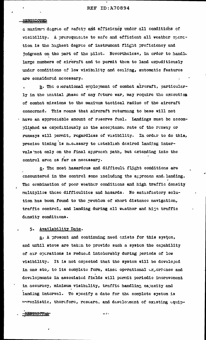a maximum degree of safety and efficiency under all conditions of visibility. A prarequisite to safe and efficient all weather operation is the highest degree of instrument flight proficioncy and judgment on the part of the pilot. Nevertheless, in order to handle large numbers of aircraft and to permit them to land expeditiously under conditions of low visibility and ceiling, automatic features are considered necessary.

b. The oberational employment of combat aircraft, particularly in the initial phase of any future war, may require the execution of combat missions to the maximum tactical radius of the aircraft concerned. This means that aircraft returning to base will not - have an appreciable amount of reserve fuel. Landings must be accomplished as expeditiously as the acceptance rate of the runway or runways will permit, regardless of visibility. In order to do this, precise timing is necessary to establish desired landing intervals not only on the final aporoach path, but extending into the control area as far as necessary.

c. The most hazardous and difficult flight conditions are encountered in the control zone including the approacn and landing. The cembination of poor weather conditions and high traffic density multiplies these difficulties and hazards. No satisfactory solution has boen found to the problem of short distance navigation, traffic control, and landing during all weather and high traffic donsity conditions.

#### 5. Availability Date.

a. A present and continuing need crists for this system, end until steps are taken to provide such a system the capability of air operations is reduced intolerably during periods of low visibility. It is not oxpected that the system will be developed in one sto, to its complete form, since operational experience and developments in associated fields will permit periodic incrovement in accuracy, minimum visibility, traffic handling capacity and landing interval. To specify a date for the complete system is unrealistic, therefore, restare. and develotment of existing equip-

RESTRICTAL

 $-1$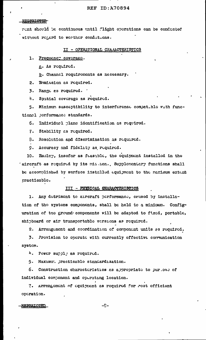### **REF ID: A70894**

#### RESTRICTED

rent should be continuous until flight operations can be conducted without regard to weather conditions.

#### II - OPERATIONAL CHARACTERISTICS

1. Frequency coverage.

a. As required.

b. Channel requirements as necessary.

2. Emmission as required.

3. Range as required. '

4. Spatial coverage as required.

5. Minimun susceptibility to interforence compatible with functionel performance standards.

6. Individual plane identification as required.

7. Stability as required.

3. Resolution and discrimination as required.

9. Accuracy and fidelity as required.

10. Employ, insofar as feasible, the equipment installed in the 'aircraft as required by its mission. Supplementary functions shall be accomplished by surface installed equipment to the naximum extent gracticablo.

#### III - PHYSICAL GHARACTERISTICS

1. Any dotriment to arreraft performance, caused by installation of the systems components, shall be held to a minimum. Configuration of the ground components will be adapted to fixed, portable, shipboard or air transportable versions as required.

2. Arrangement and coordination of component units as required.

3. Provision to operate with currently effective communication system.

<sup>h</sup>. Power supply as required.

5. Maximur. practicable standardization.

6. Construction characteristics as appropriate to purioss of individual component and operating location.

7. Arrangoment of equipment as required for most officient oparation.

#### **RESTRICTED**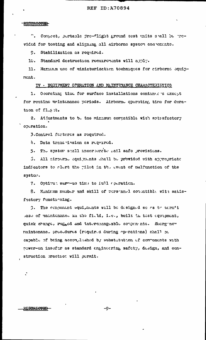#### <del>RECTATOTED</del>

". Conpect, portable pre-flight ground test units shall be previded for tosting and aligning all airborne system components.

 $9.$ Stabilization as required.

10. Standard destruction requirements will apply.

11. Maximum use of miniaturization tochniques for cirberne equipnont.

IV - EQUIPMENT OPERATION AND MAINTEMANCE CHARACTERISTICS

1. Operating time for surface installations continues except for routine maintenance periods. Airborne operating, time for duration of flight.

2. Adjustments to be the minimum compatible with sets sfactory operation.

3. Control fectures as required.

4. Data trenamission as required.

5. The system stall incorporate rail safe provisions.

5. All sirporno equipments shall be provided with appropriate indicators to clert the pilot in the event of malfunction of the syston.

7. Optimus warm-us time to full operation.

8. Minimum mumber and skill of personnel conductible with satisfactory functioning.

3. The component equignents will be designed so as to term't sase of maintenance in the field, i.e., built in test equipment, quick change, rugged and interchangeable compenents. Shergenew maintenance procedures (required during operations) shall be capable of being accomplished by substitution of commonents with power-on insofar as standard engineering safety, design, and construction practice will permit.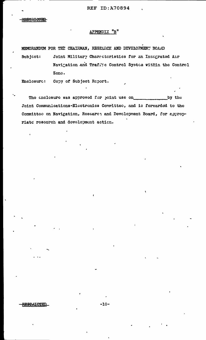# APPENDIX "B"

MEMORANDUM FOR THE CHAIRMAN, RESEARCH AND DEVELOPMENT BOARD

Joint Military Characteristics for an Integrated Air Subjcct: Navigation and Traffic Control System within the Control Zono.

Copy of Subject Report. Enclosurc:

The cnclosure was approved for joint use on\_ by the Joint Communications-Electronics Committee, and is forwarded to the Committoe on Navigation, Research and Development Board, for appropriate research and development action.

**RESTRICTED**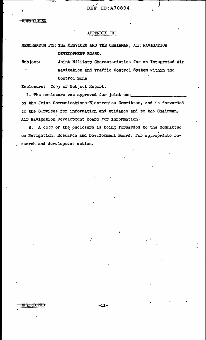**REF ID: A70894** 

<del>RECTRICTE</del>

# APPENDIX "C"

MEMORANDUM FOR THE SERVICES AND THE CHAIRMAN, AIR NAVIGATION DEVELOPMENT BOARD.

Joint Military Characteristics for an Integrated Air Subject: Navigation and Traffic Control System within tho Control Zone

Enclesure: Copy of Subject Report.

1. The enclosure was approved for joint use by the Joint Communications-Electronics Committee, and is forwarded to the Survices for information and guidance and to the Chairman, Air Navigation Development Board for information.

2. A copy of the enclosure is being forwarded to the Committee on Navigation, Research and Development Board, for appropriate rescarch and development action.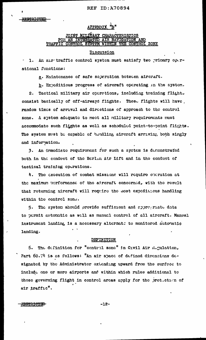# APPENDIX "D"

# <u>JOINT MILITARY CHARACTERISTICS</u> **NAVIGATION** TRAFFIC CONTROL SYSTEM WITHIN THE CONTROL ZONE

### Discussion

1. An air traffic control system must satisfy two primary operational functions:

g. Maintenance of safe seperation between aircraft.

b. Expeditious progress of aircraft operating in the system.

Tactical military air operations, including training flight.  $2.$ consist basically of off-airways flights. These flights will have, random times of arrival and directions of approach to the control zone. A system adaquate to meet all milltary requirements must accommodate such flights as well as scheduled point-to-point flights. The system must be capable of handling aircraft arriving, both singly and information.

3. An immediate requirement for such a system is demonstrated both in the conduct of the Berlin Air Lift and in the conduct of tactical training operations.

4. The execution of combat missions will require operation at the maximum performance of the adreraft concerned, with the result that returning aircraft will require the most expeditious handling within the control zone.

The system should provide sufficient and approgriate data 5. to permit automatic as well as manual control of all aircraft. Manual instrument landing is a necessary alternate to monitored automatic landing.

#### DEFINITION

5. The definition for "centrol zone" in Civil Air Regulation, Part 60.74 is as follows: "An air space of defined dimensions designated by the Administrator oxtending upward from the surface to include one or more airports and within which rules additional to those governing flight in control arcas apply for the protection of air traffic".

 $-12-$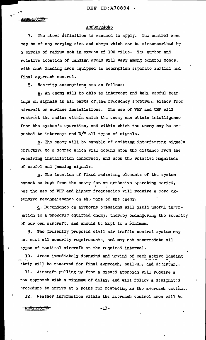REF ID:A70894 /

**ISPRECTED** 

# ASSUMPTIONS

7. The above definition is essumed to apply. The control zene may be of any varying size and shape which can be circumscribed by a circle of radius not in exeess of 100 miles. The number and rolative location of landing areas will vary among control zones, with acch landing area aquipped to accomplish separate initial and final approach control.

8. Socirity assumptions are as follows:

a. An enemy will be able to intercept and take useful bearings on signals in all parts of the frequency spectrum, either frem aircraft or surface installations. The use of VHF and UHF will restrict the radius within which the enery can obtain intelligence from the system's operation, and within which the enemy may be oxpocted to intercept and D/F all types of signals.

b. The enomy will be capable of emitting interferring signals affective to a degree waich will depend upon the distance from the receiving installation concerned, and uoon the relative magnitude of usoful and jamming signals.

c. The location of fixed radiating elements of the system cannot be kept from the enemy for an extensive operating period, wit the use of VHF and higher frequencies will require a more extensive reconnaissance on the part of the enemy.

d. Derendence en airborne emissions will yield usoful inferation to a properly equipped energ, thereby ondangering the security of our own aircraft, and should be kept to a rinimum.

The presently proposed civil air traffic control system may 9. not mact all socurity requirements, and may not accommodate all types of tactical aircraft at the required interval.

10. Arcas immediately downwind and upwind of sach active landing strip will be reserved for final approach, pull-up, and departure.

11. Aircraft pulling up from a missed approach will require a new approach with a minimum of dolay, and will follow a designated procedure to arrivo at a point for respacing in the approach pattern.

12. Weather information within the aderoach control area will be

#### **RESTRICTED**